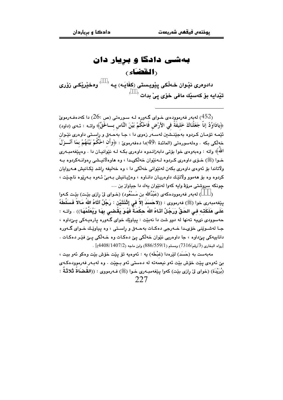## بهشی دادگا و بریار دان (القضاء)

دادوهري نێوان خـهڵکي پێويـستي (کفَايَـه) پـه <sup>( \_\_)</sup> وهخێرێِکـي زۆري تێدایه بۆ کەسێك مافی خۆی ییْ بدات <sup>(</sup>

لەبەر فەرموودەي خـواي گـەورە لـە سـورەتى (ص $26:$ ) دا كەدەفـەرموئ  $(26)$ ﴿يادَاوُدُ إِنَّا جَعَلْنَاكَ خَلِيفَةً في الأرْضِ فَاحْكُمْ بَيْنَ النَّاسِ بِـــاخَقِّ﴾ واتــه : ئــهى (داود) ئێمـه تۆمـان کـردوه بهجێنــشن لهسـهر زهوی دا ، جـا بهحـهق و راسـتی داوهری نێـوان خەلكى بكە . وەلەسورەتى (المائدة :49)دا دەڧەرموێ : ﴿وأَن احْكُمْ بَيْنَهُمْ بِمَا أَنْـــزَلَ اللَّه » واته : وهېوووي خوا بۆتى دابەزانىدوه داوەرى بكـه لـه نێوانپـان دا . وهيێغەمبـەرى خـوا (ﷺ) خـۆي داوەري كـربوه لـەنئوان خەلكى10 ، وه ھاوەلانىيشى رەوانـەكربوه بــە ولاتاندا يؤ ئەوەي داوەرى يكەن لەنئوانى خەلكى دا ، وە خەلپفە راشد ئكانپش ھەروايان کردوه وه يۆ ھەموو ولاتٽك داوهريان دانياوه ، وهژييانيش پيەنى ئيەوه پيەرتوه ناچٽت ، جونكه سروشتي مرؤڤ واپه كهوا لهنٽوان پهك دا جياواز پن ...

(BBB) له به ر فه رمووده که ی (عَبْدُالله بن مَسْعُود) (خـوای لی رازی بیّـت) بیّـت کـهوا يِيْغهمبِهرِي خوا (ﷺ) فهرمووي : ((لاحَسَدَ إلاَّ في إِثْنَتَيْنِ : رَجُلٌ آتَاهُ اللهُ مَالاً فَسَلَّطَهُ عَلَـى هَلَكَتـه فـى الحَقِّ وَرَحُلٌ آتَـاهُ اللهُ حكْمَـةٌ فَهُـوَ بَقْـضـى بهَـا وَبُعَلِّمُهَـا)) . وإتـه : حهسوودي ني په تهنها له دوو شت دا نهبێت : پياوێك خواي گهوره پارهيهكي پيٍّداوه ، جـا لەشـوێنى خۆي-دا خـەرجى دەكـات بەجـەق و راسـتى ، وە بياوێـك خـواي گـەورە دانابيهکي يئ داوه ، جا داوهريي نٽوان خه لکي يئ دهکات وه خـه لکي يـئ فٽِر دهکات . .<br>[رواه البخاري (3/رقم/7316) ومسلم (559/1) (886/559) وابن ماجه (4408/1407/2)] .

مەبەست بە (حَسَد) لێرەدا (غبْطَه) يە : ئەوەپە تۆ يێت خۆش بێت وەكو ئەو بیت ، يئ ئەوەي يٽت خۆش يٽت ئەو نيغمەتە لە دەستى ئەو يـچٽت . وە لەيـەر فەرموودەكـەي (بُرِيْدَة) (خواي لِيْ رِازِي بِيْت) كهوا پِيْغهمبهري خـوا (ﷺ) فـهرمووي : ((القُضْاةُ ثَلاثَةٌ :  $227$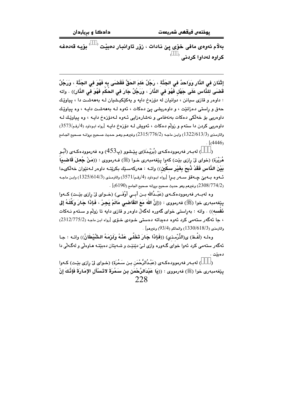بەلام ئەوەي مافى خۆي يێ نادات ، زۆر تاوانبار دەبێت  $\langle\quad\rangle$  بۆيە قەدەغە کراوہ لهداوا کردنے, <sup>(</sup>

إِثْنَانِ في النَّارِ وَوَاحدٌ في الجَنَّة ، رَجُلٌ عَلمَ الحَقَّ فَقَصْبَى بِه فَهُوَ في الجَنَّة ، وَرَجُلٌ قَضـَى للذَّاس عَلَى جَهْل فَهُوَ في الذَّارَ ، وَرَجُلٌ جَارَ في الحُكْم فَهُوَ في الذَّارِ)) . واته : داوهر و قازی سیانن ، دوانیان له دۆزەخ دایه و یهکیکیشیان لـه بهههشـت دا ، پیاویّل حەق و راستى دەزانێت ، و داوەريشى يېّ دەكات ، ئەوە لـه بەھەشت دايـه ، وە يياوێك داوەريى بۆ خەلكى دەكات بەنەڧامى و نەشارەزايى ئـەوە لـەدۆزەخ دايـە ، وە يياويّك لـە داوهريي كردن دا ستهم و زولْم دهكات ، ئەويش لــه دۆزەخ دايــه [رواه ابـوداود (4/رقم/3573) والترمذي (13/2/613/3) وابن ماجـه (2315/776/2) وغيرهـم وهـو حـديث صـحيح بروانـه صـحيح الجـامع  $\frac{1}{4446}$ 

(BBB) لەبـەر فەرموودەكـەي (بُرَيْـدَة)ى پێـشوو (پ $\left(453\right)$ ) وە فەرموودەكـەي (أَبُـو هُرَيْرَة) (خواي ليّ رِازِي بيّت) كهوا پيّغهمبهري خـوا (ﷺ) فـهرمووي : ((مَنْ جُعلَ قَاضـيَاً بَيْنَ الذَّاسِ فَقَدْ ذُبِحَ بِغَيْرِ سكَينِ)) واتـه : هەركەسـێك بكرێتـه داوەر لـەنێوان خەلٚكى1دا ئــهوه بــهبيّ چــهقوّ ســهو بــرا [رواه ابـوداود (4/رقـم/3571) والترمـذي (1325/614/3) وابـن ماحـه . 2308/774/2) وغيرهم وهو حديث صحيح بروانه صحيح الجامع (6190) .

وه لهبــهر فهرموودهكــهى (عَبْــدُالله بــن أبــى أوْفَــى) (خــواى ليّ رازى بيّــت) كــهوا يێِغەمبەرى خوا (ﷺ) فەرمووى : ((إِنَّ اللَّهَ مَعَ القَاضـى مَالَمْ يَجـِرْ ، فَإِذَا جَارَ وَكُلَـهُ إِلى .<br>**نَفْسه**)) ، واته : پهراستي خواي گهوره لهگهڵ داوهر و قازي دايه تا زولّم و سـتهم نـهكات ، جا ئەگەر ستەمى كرد ئەوە دەبداتە دەستى خـودى خـۆى [رواه ابـن ماجـه (2312/775/2)  $[93/4, 93/4]$ والترمذي (1330/618) والحاكم (93/4) وغيرهم

وهك (لَفْـظ) ي(التِّرْمـذي) ((فَـإِذَا جَارَ تَـْخَلِّـي عَنْـهُ ولَرْمَـهُ الشَّيْطَانُ)) وإتـه : جـا ئهگەر ستەمى كرد ئەوا خواي گـەورە وازى لـىٰ دێنێت و شـەيتان دەبێتـە ھـاوەلّى و لەگـەلّى دا دەبێت .

(BBB) لەيبەر فەرموودەكـەي (عَيْـدُالرَّحْمَن بـن سَـمُرَة) (خـواي لِيْ رازي بِيْـت) كـەوا ينِغەمبەرى خوا (ﷺ) فەرمووى : ((يَا عَبْدَالرَّحْمَنْ بِنْ سَمُرَةَ لاتَسْأَلِ الإِمَارَةَ فَإِنَّكَ إِنْ 228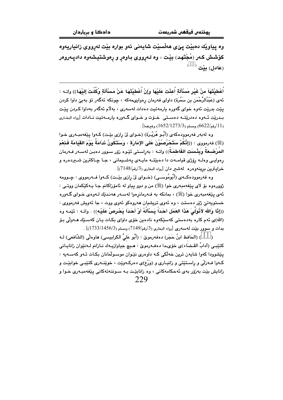وه پياويْك دەبيْت يېْي ھەڵسێت شاپەنى ئەو بوارە بيْت لەرووي زانياريەوە کۆشش کـهر (مُجْتَهد) بێت ، وه لـهړووی بـاوهړ و ړهوشتيشهوه دادپـهرومر  $^\circ$  (عَادل) ىنت

أَعْطيْتَهَا منْ غَيْرِ مَسْأَلَةٍ أُعِنْتَ عَلَيْهَا وَإِنْ أُعْطيْتَهَا عَنْ مَسْأَلَةٍ وُكِّلْتَ إليْهَا)) واتـه : ئەي (عَبْدُالرَّحْمَن بن سَمُرَة) داواي فەرمان رەوايىمەكە ، چونكە ئەگەر تۆ بەبىّ داوا كردن يێت بدرێِت ئەوە خواي گەورە يارمەتيت دەدات لەسەرى ، بەلاّم ئەگەر بەداوا كـردن يێت بـدريّت ئــهوه دهدريّتــه دهسـتي خــوّت و خــواى گــهوره بارمــهتيت نــادات [رواه البخـارى . (11/رقم/6622) ومسلم (1652/1273/3) وغيرهما] .

وه لهبهر فهرموودهکهی (أَبُـو هُرَيْـرَة) (خـوای لِّیْ رِارْی بِیْـت) کـهوا پِیْغهمبـهری خـوا (ﷺ) فەرمورى : ((إِنَّكُمْ سَتَحْرُصُوُنَ عَلَى الإِمَارَة ، وَسَتَكُونُ نَدَامَةً يَوْمَ القِيَامَةِ فَنَعْمَ المُرْضِعَةُ وَبِئْسَتِ الفَاطِمَةُ)) واتـه : بهراسـتى ئێـوه رزور سـوور دهبـن لهسـهر فـهرمان رهوايـي وهك رۆژى قيامــهت دا دهبێتــه مايــهى پـهشــيمانى ، جـا چـاكترين شــيردهره و خرابيترين برينهوهره لهشير دان [رواه البخاري (3/رقم/7148)] .

وه فهرموودهکـهي (أَبُومُوسـي) (خــواي ليّ رازي بيّـت) کــهوا فــهرمووي : چــوومه ژوورەوە بۆ لاي پێغەمبەرى خوا (ﷺ) من و دوو پياو له ئامۆزاكانم جـا پـەكێكمان ووتـى : ئەي يێغەمبەرى خوا (ﷺ) ، بمانكە بە فـەرمانرەوا لەسـەر ھەنـدێك لـەوەي خـواي گـەورە خستويەتىٰ ژێر دەستت ، وە ئەوي تريشيان ھەروەكو ئەوي ووت ، جا ئەويش فەرمووي : ((إِذًا وَالله لأَنُولَىَ هَذَا العَمَل أَحَدَاً يَسْأَلُهُ أَوْ أَحَدَا يَحْرِصُ عَلَيْهِ)) . وإتـه : ئێمه وه (الله)ي ئەم كارە بەدەستى كەسێكەوە نادەين خۆي داواي بكـات يـان كەسـێك ھـەولّى بـۆ  $\sim [1733/1456/3)$ بدات و سوور بيّت لهسهري  $[149]$ ه البخاري (3/رقم/7149) .

(BBB) (الحَافظ ابنُ حَجَر) دەفەرموێ : (أَبُو عَلیِّ الكرابيسی) هاوەلی (الشّافعی) لـه كتيْبي (آدابُ القَـضَاء)ي خوْيدا دەفـەرمويْ : هـيچ جياوازيـهك نـازانم لــەنێوان زانايـاني یێشوودا کهوا شایهن ترین خهڵکی کـه داوهری نێوان موسـوڵمانان یکـات ئـهو کهسـهیه : کـهوا فــهزلی و راسـتێتی و زانیــاری و (وَرْع)ی دهرکـهوێت ، خوێنــهری کتێبــی خوابێـت و زانايش بێت بەزۆر بەي ئەحكامەكانى ، وە زانابێت بـە سـوننەتەكانى يێغەمبـەرى خـوا و 229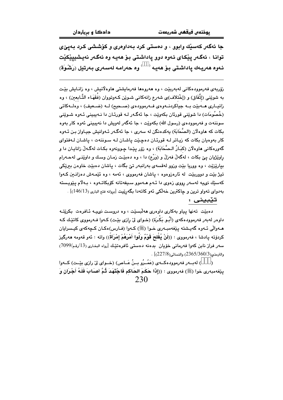جا ئهگەر كەسىيك وابوو ، و دەستى كرد بەداوەرى و كۆششى كرد بەيىٌى توانا ، ئەگەر يێكاي ئەوە دوو ياداشتى بۆ ھەيە وە ئەگەر نەيشييێكێت ئەوە ھەرپىەك ياداشتى بۆ ھەيـە<sup>‹ )</sup> وە حەرامـە لەسـەر*ى* بـەرتيل (رَشْـوَة)

زۆريەي فەرموودەكانى لەبەريێت ، وە ھەروەھا فەرمايشتى ھاوەلانيش ، وە زانىايش بێت به شويِّني (إتِّفَاق) و (إخْتلاف)ي شەرع زانەكانى شـويْن كـەوتووان (فَقَهَـاء التَّـابعين) ، وه زانيـاري هـــه بيّت بــه جياكردنـــهوهي فــهرموودهي (صــحيح) لــه (ضــعيف) ، وهلــهكاتي (خُصُومَات) دا شوێنی قورِئان بکەوێت ، جا ئەگـەر لـه قورِئـان دا نـەببينی ئـەوە شـوێنی سوننهت و فهرموودهي (رسول الله) بکهويّت ، جا ئهگهر لهويش دا نهيبيني ئهوه کار بهوه بکات که هاوهلّان (الصَّحَابَة) پهکدهنگن له سهري ، جا ئهگـهر ئـهوانيش جيـاواز بـن ئـهوه کار بهوهيان بکات که زياتر لـه قورئـان دهچيد ياشـان لـه سـوننهت ، ياشـان لـهفتواى گەورەكانى ھاوەلان (كبَـارُ الـصَّحَابَة) ، وە زۆر يێدا چـوونەوە بكـات لەگـەلْ زانايـان دا و راوێژيان يېّ بکات ، لهگهڵ فهزڵ و (وَرْع) دا ، وه دهبێت زمـان وسـك و داوێنـي لهحـهرام بياريزيّت ، وه ووريا بيّت وزوو لهقسهي بهرانبهر تيّ بگات ، پاشان دهبيّت خاوهن بيريّكي تيژ بيّت و دووړييّت له ئاروزودوه ، پاشان فهرمووي ، ئهمه ، وه ئيّمـهش دوزانـين كـهوا كەسێك نىيە لەسەر رووى زەوى دا ئـەم ھـەموو سـيفەتانە كۆبكاتـەوە ، بـەلام يێويـستە به دواي تهواو ترين و چاكترين خه لكي ئهو كاته دا بگهرييت [بروانه فتح الباري (13/146)] .

تێبيني :

دهییّت تهنها بیاو بهکاری داووری ههلّسییّت ، وه دروست نوییه تَافروت بکریّته داوور لهبهر فهرموودهکهی (أَبُـو بَكَرَة) (خـوای ليّ رازی بيّـت) کـهوا فـهرمووی کاتيّـك کـه مـهوالْي ئـهوه گەيـشتە يێغەمبـەرى خـوا (ﷺ) كـهوا (فـارس)ەكـان كـچەكەي كيـسرايان كردۆته پادشا ، فەرمووى : ((لَنْ يُفْلِحَ قَوْمٌ وَلَّوا أَمْرَهُمْ إِمْرَأَةً)) واته : ئەو قەومە ھەرگىز سەر فراز نابن كەوا فەرمانى خۆيان بدەنە دەستى ئافرەتێك [رواه البخارى (13/رقم/7099)  $\sim$ والترمذي $(227/8)(360/3)$  والنسائي $(227/8)$  .

(BBB) لهبــهر فهرمووڊهڪـهي (عَمَــرُو بــرُ عَــاص) (خــواي ليّ رازي بيّـت) ڪـهوا ينِغهمبهري خوا (ﷺ) فهرمووي : ((إِلاَّا حَكَمَ الحَاكم فَاجْتَهَدَ ثُمَّ أَصَابَ فَلَـهُ أَجْرَانٍ وَ 230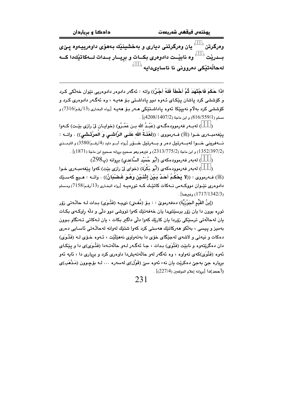<sup>)</sup> يان وەرگرتنى ديارى و بەخشينێك بەھۆى داوەرييـەوە پـێى وهرگرتن <sup>(</sup> بــدريْت ` ` وه نابيْــت دادوهرى بكــات و برِيـــار بــدات لـــهكاتيْكدا كـــه لەچاڵەتتكى دەروونى نا ئاسادىدادە <sup>(</sup>

اذَا حَكَمَ فَاجْتَهَدَ ثُمَّ أَخْطَأَ فَلَهُ أَجْنٌ)) واته : ئەگەر دادوەر دادوەريى نێوان خەڵكى كـرد و کۆششى کرد ياشان يێکاى ئـهوه دوو ياداشـتى بـۆ هەيـه ، وه ئەگـەر دادوەرى کـرد و كۆششى كرد بەلام نەييێكا ئەوە ياداشتێكى ھـەر بـۆ ھەيـە [رواه البخارى (13/رقم/7316) و  $(4208/1407/2)$  وابن ماجة (4 $(4208/1407/2)$ 

(BBB) له به ر فه رمووده گــهي (عَبْـدُ الله بــن عَمْــرُو) (خوابــان ليّ رازي بيّــت) كــهوا يێغەمبــەرى خــوا (ﷺ) فــەرمووى : ((لَعْنَــةُ الله عَلَــى الرَّاشْــي وَ الُمرْتَـشْـي)) . واتــه : نسهفريني خسوا له بورتيل دهر و بسهرتيل خسوّر [رواه أسو داود (4/رقم/3580) و الترمــذي (1352/397/2) و ابن ماجة (2313/775/2) و غيرهم وهو صحيح بروانه صحيح ابن ماجة (1871)] .

(BBB) لەبەر فەرموودەكەي (أَبُو حُمَيْد السَّاعدى) بروانە (پ298)

(BBB) له به ر فه رمووده که ی (أَبُو بَكْرَة) (خوای لیْ رازی بیْت) که وا پیْغه مبـه ری خـوا (ﷺ) فـ4رمووى : ((لا يَحْكُمُ أَحَدٌ بَـيْنَ إِتْنَـيْنِ وَهُـوَ غَـضْبَانٌ)) . واتــه : هـيچ كهسـێك دادوهري نٽيـوان دووكــهس نــهكات كاتٽيـك كــه تورهيــه [رواه البخـاري (13/رقـم/7158) ومـسلم .  $(1717/1342/3)$ وغىرهما]

(إِبنُ القَيِّمِ الجَوْزِيَّةِ) دەفەرموێ : : بـِـۆ (مُفـتى) نىيـِـه (فَتْـوَى) بـدات لـه حاڵـەتى زۆر توره بوون دا بان زوّر پرسٽتيدا بان خەفەتتك كەو! تووشى دوو دلّى و دلّە راوكـەي بكـات يان لهحالَّهتي ترسٽِکي زِرْرِدا بان کارِيِّك کهوا دِلِّي داگير بکات ، بان لـهکاتي تـهنگاو بـوون بەمىز و يېسى ، بەلكو ھەركاتتك ھەستى كرد كەو! شتتك لەوانە لەچاڭەتى ئاسابى دەرى دهکات و نیهتی و لاشهی لهجێگای خۆی دا بهتهواوی نههێڵێت ، ئـهوه خـۆی لـه (فَتْـوَی) دان دهگرێتەوه و نابێت (فَتْوَى) بـدات ، جـا ئەگـەر لـەو حالّەتـەدا (فَتْـوَى)ى دا و يـێكـاى ئەوە (فَتْوَى)كەي تەواۋە ، ۋە ئەگەر لەۋ جاڭەتەپش،دا داۋەرى كرد ۋ پريارى دا ، ئاپە ئەۋ برياره جيّ بهجيّ دهکريّت بان نهء ئهوه سيّ (قَوْل)ي لهسهره … لـه يۆچوون (مَذْهَب)ي (أحمد)دا [بروانه إعلام الموقعين (227/4)].

231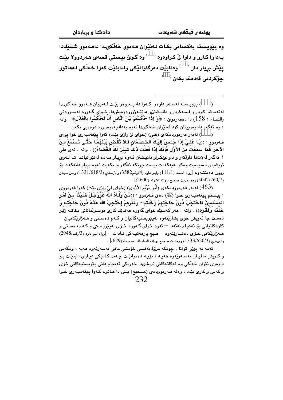وه پێویسته یهکسانی بکات لـهنێوان هـهموو خهڵکىـدا لههـهموو شـتێك١دا بـهداوا کـارو و داوا لیّ کـراوهوه <sup>( )</sup> وه گـویّ بیستی قسهی هـهردوولا بیّت پێش بريار دان <sup>( )</sup> وهنابێت دهرگاوانێکی وادابِنێت کهوا خهڵکی لـههاتوو <u>جۆكر</u>دنى قەدەغە بكەن <sup>(</sup>

(BBB) پێویسته لهسـهر داوهر کـهوا دادیــهروهر بێـت لــهنێوان هــهموو خهڵکىـدا لەتەماشا كىردن. قىسەكردن. دانيىشتن. ھاتنـەژوررەرەيش،دا. خـواي گـەورە لەسـورەتى (النساء : 158) دا دەڧەرموێ : ﴿وَ إِذَا حَكُمْتُمْ بَيْنَ النَّاسِ أَنْ تَحْكُمُوا بِالْعَدْلُ﴾ . واتـه : وه ئەگەر دادوەرييتان كرد لەنێوان خەلكىدا ئەوە بەدادپەروەرى دادوەريى بكەن .

(BBB) له به ر فه رموودهکهی (عَلی) (خوای لیٌ رازی بیّت) کهوا پیّفهمبهری خوا پیّی فـهرموو : ((يَـا عَلـىَّ إِذَا جَلَـسَ إِليْـكَ الخَـصنْمَانِ فَـلاً تَقتض بَيْنَهُمَا حَتَّـى تَـسْمَعَ منَ الآخر كَمَا سَمعْتَ منَ الأَوَّلِ فَإِنَّكَ إِذَا فَعَلَتَ ذَلكَ تَبِيُّنَ لَكَ القَضَاءُ)) . واته : ئەي على ! ئەگەر لەلاتدا داواكەر و داوالىُكراو دانيشتن ئـەوە بريـار مـەدە لەنێوانيانـدا تـا لـەوى تریشیان دهبیسیت وهکو لهیهکهمت بیست چونکه ئهگهر وا بکهیت ئهوه بریار دانهکهت بۆ روون دهبيِّتـهوه [رواه احمـد (111/1) وابـو داود (4/رقـم3582) والترمـذي (1331/618/3) وابـن حبـان . [260/7/(5042) وهو حديث صحيح بروانه الارواء (2600)] .

(463) لهبهر فهرموودهكهي (أَبُو مَرْيَم الأَزْديِ) (خوِاي ليِّ رِازِي بيِّت) كهوا ِفهرمووي : بيـستم يـێفەمبـەرى خـوا (ﷺ) دەي فـەرمور : ((مَنْ وَلـاهُ الله عَزَّوَجَلَّ شَـيْئًا منْ أَمْـر المَسْلمينَ فَاَحْتَجَبَ دُونَ حَاجَتهمْ وَخُلُتم~ وَفَقَرِهمْ إِحْتَجَبَ اللهِ عَنْـهُ دُونَ حَاجَتـه وَ خُلُته وَفقُرِه)) . واته : مەر كەسێك خواي گەورە مەندێك كارى موسىولْمانانى بخاتــه ژێـر دهست جا ئەويش خۆی بشارێتەوه لەيێويستپەكانيان و كـﻪم دەسـتى و ھـﻪژارێكانيان – کارهکانیانی بۆ ئەنجام نەئەدا — ئەوە خواي گـەورە خـۆي لەيێويـستى و کـەم دەسـتى و هــه ژارێکاني خــوّي دهشــارێتهوه – هــيچ يارمهتيــهکي نــادات – [رواه ابـو داود (3/رقم/2948) . والترمذي (1333/620/3) ووحديث صحيح بروانه السلسلة الصحيحة (629)]

ئەمە بە يىڭى توانا ، چونكە مرۆۋ نەڧسى خۆپشى ماڧى بەسەرێەوە ھەيە ، وەكەس و کاریش مافیـان بهسـهرێهوه ههیـه ، بۆیـه دهتوانێت چـهند کـاتێکی دیـاری دابنێـت بـۆ داوەرى نێوان خەلكى وە لەكاتەكانى تریشىدا خەریكى ئەنجام دانى يێویستپەكانى خۆي و کهس و کاري بێت ، وهله فــهرموودهي (صـحيح) پـش دا هـاتوه کـهوا پێغهمبـهري خـوا

232